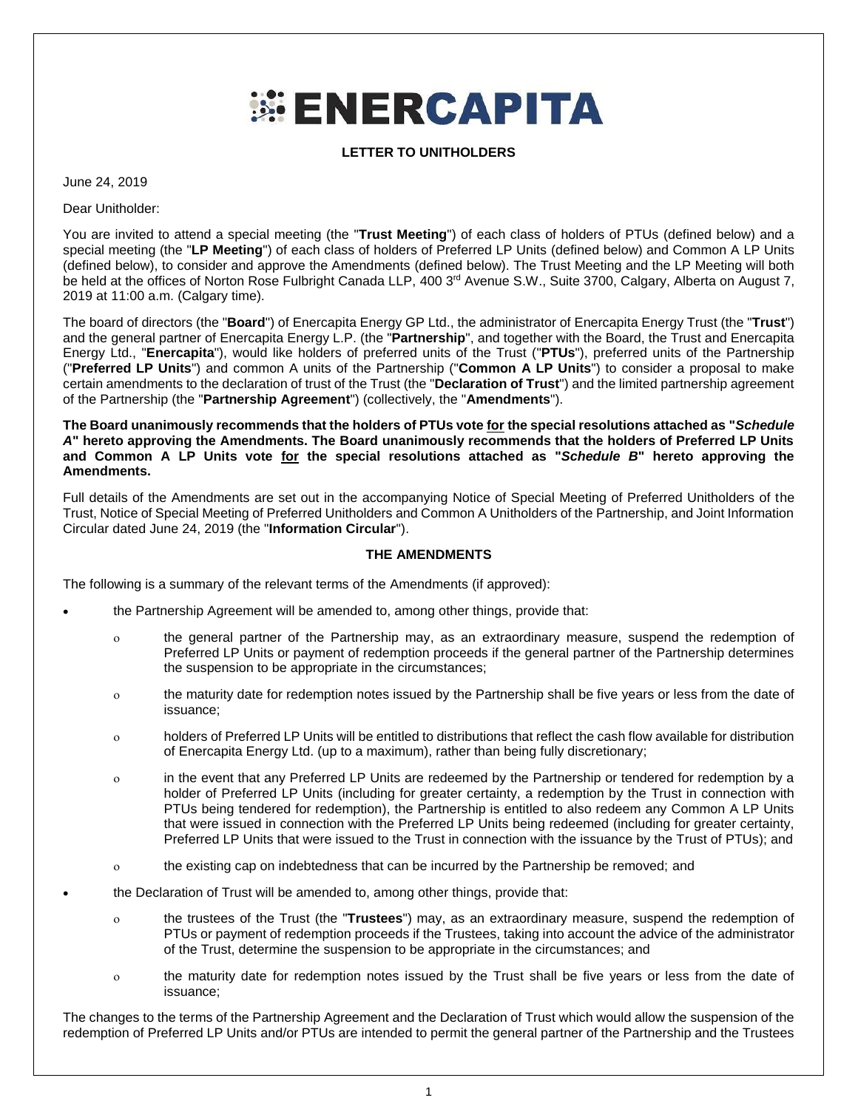## **ENERCAPITA**

**LETTER TO UNITHOLDERS**

June 24, 2019

Dear Unitholder:

You are invited to attend a special meeting (the "**Trust Meeting**") of each class of holders of PTUs (defined below) and a special meeting (the "**LP Meeting**") of each class of holders of Preferred LP Units (defined below) and Common A LP Units (defined below), to consider and approve the Amendments (defined below). The Trust Meeting and the LP Meeting will both be held at the offices of Norton Rose Fulbright Canada LLP, 400 3<sup>rd</sup> Avenue S.W., Suite 3700, Calgary, Alberta on August 7, 2019 at 11:00 a.m. (Calgary time).

The board of directors (the "**Board**") of Enercapita Energy GP Ltd., the administrator of Enercapita Energy Trust (the "**Trust**") and the general partner of Enercapita Energy L.P. (the "**Partnership**", and together with the Board, the Trust and Enercapita Energy Ltd., "**Enercapita**"), would like holders of preferred units of the Trust ("**PTUs**"), preferred units of the Partnership ("**Preferred LP Units**") and common A units of the Partnership ("**Common A LP Units**") to consider a proposal to make certain amendments to the declaration of trust of the Trust (the "**Declaration of Trust**") and the limited partnership agreement of the Partnership (the "**Partnership Agreement**") (collectively, the "**Amendments**").

**The Board unanimously recommends that the holders of PTUs vote for the special resolutions attached as "***Schedule A***" hereto approving the Amendments. The Board unanimously recommends that the holders of Preferred LP Units and Common A LP Units vote for the special resolutions attached as "***Schedule B***" hereto approving the Amendments.**

Full details of the Amendments are set out in the accompanying Notice of Special Meeting of Preferred Unitholders of the Trust, Notice of Special Meeting of Preferred Unitholders and Common A Unitholders of the Partnership, and Joint Information Circular dated June 24, 2019 (the "**Information Circular**").

## **THE AMENDMENTS**

The following is a summary of the relevant terms of the Amendments (if approved):

- the Partnership Agreement will be amended to, among other things, provide that:
	- the general partner of the Partnership may, as an extraordinary measure, suspend the redemption of Preferred LP Units or payment of redemption proceeds if the general partner of the Partnership determines the suspension to be appropriate in the circumstances;
	- the maturity date for redemption notes issued by the Partnership shall be five years or less from the date of issuance;
	- holders of Preferred LP Units will be entitled to distributions that reflect the cash flow available for distribution of Enercapita Energy Ltd. (up to a maximum), rather than being fully discretionary;
	- in the event that any Preferred LP Units are redeemed by the Partnership or tendered for redemption by a holder of Preferred LP Units (including for greater certainty, a redemption by the Trust in connection with PTUs being tendered for redemption), the Partnership is entitled to also redeem any Common A LP Units that were issued in connection with the Preferred LP Units being redeemed (including for greater certainty, Preferred LP Units that were issued to the Trust in connection with the issuance by the Trust of PTUs); and
	- the existing cap on indebtedness that can be incurred by the Partnership be removed; and
- the Declaration of Trust will be amended to, among other things, provide that:
	- the trustees of the Trust (the "**Trustees**") may, as an extraordinary measure, suspend the redemption of PTUs or payment of redemption proceeds if the Trustees, taking into account the advice of the administrator of the Trust, determine the suspension to be appropriate in the circumstances; and
	- the maturity date for redemption notes issued by the Trust shall be five years or less from the date of issuance;

The changes to the terms of the Partnership Agreement and the Declaration of Trust which would allow the suspension of the redemption of Preferred LP Units and/or PTUs are intended to permit the general partner of the Partnership and the Trustees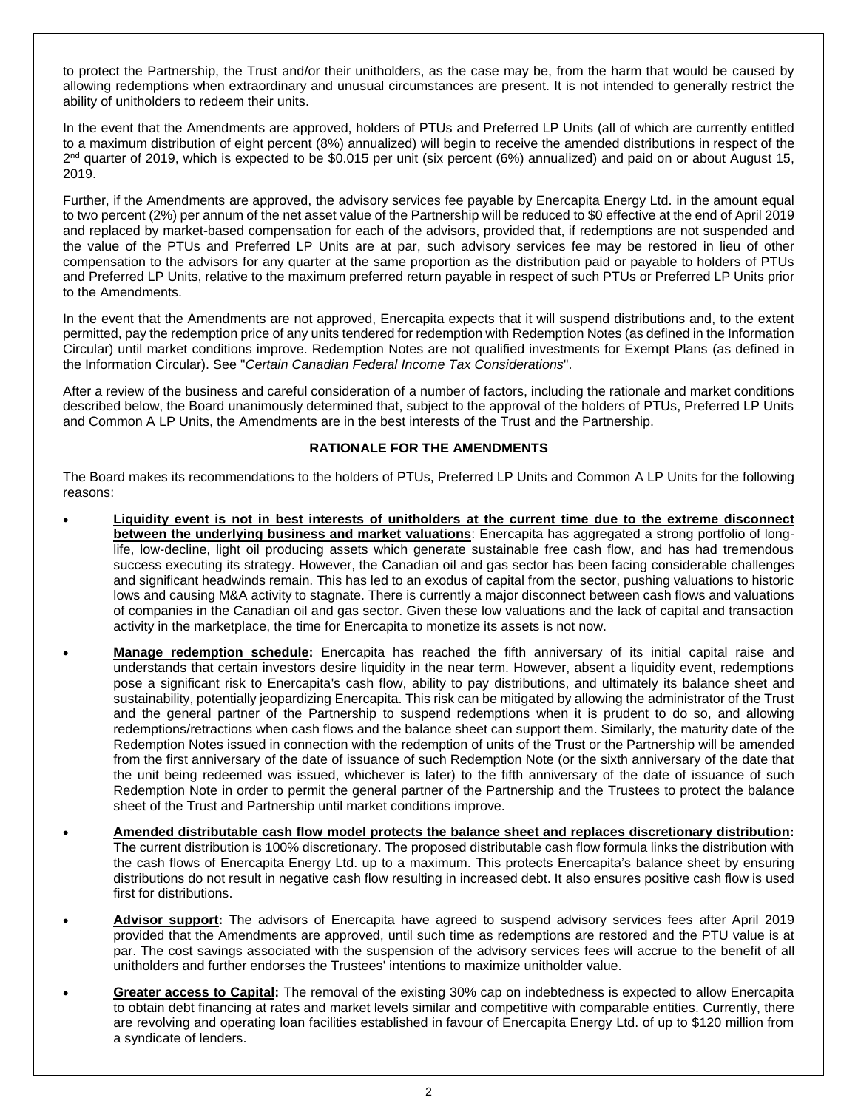to protect the Partnership, the Trust and/or their unitholders, as the case may be, from the harm that would be caused by allowing redemptions when extraordinary and unusual circumstances are present. It is not intended to generally restrict the ability of unitholders to redeem their units.

In the event that the Amendments are approved, holders of PTUs and Preferred LP Units (all of which are currently entitled to a maximum distribution of eight percent (8%) annualized) will begin to receive the amended distributions in respect of the 2<sup>nd</sup> quarter of 2019, which is expected to be \$0.015 per unit (six percent (6%) annualized) and paid on or about August 15, 2019.

Further, if the Amendments are approved, the advisory services fee payable by Enercapita Energy Ltd. in the amount equal to two percent (2%) per annum of the net asset value of the Partnership will be reduced to \$0 effective at the end of April 2019 and replaced by market-based compensation for each of the advisors, provided that, if redemptions are not suspended and the value of the PTUs and Preferred LP Units are at par, such advisory services fee may be restored in lieu of other compensation to the advisors for any quarter at the same proportion as the distribution paid or payable to holders of PTUs and Preferred LP Units, relative to the maximum preferred return payable in respect of such PTUs or Preferred LP Units prior to the Amendments.

In the event that the Amendments are not approved, Enercapita expects that it will suspend distributions and, to the extent permitted, pay the redemption price of any units tendered for redemption with Redemption Notes (as defined in the Information Circular) until market conditions improve. Redemption Notes are not qualified investments for Exempt Plans (as defined in the Information Circular). See "*Certain Canadian Federal Income Tax Considerations*".

After a review of the business and careful consideration of a number of factors, including the rationale and market conditions described below, the Board unanimously determined that, subject to the approval of the holders of PTUs, Preferred LP Units and Common A LP Units, the Amendments are in the best interests of the Trust and the Partnership.

## **RATIONALE FOR THE AMENDMENTS**

The Board makes its recommendations to the holders of PTUs, Preferred LP Units and Common A LP Units for the following reasons:

- **Liquidity event is not in best interests of unitholders at the current time due to the extreme disconnect between the underlying business and market valuations**: Enercapita has aggregated a strong portfolio of longlife, low-decline, light oil producing assets which generate sustainable free cash flow, and has had tremendous success executing its strategy. However, the Canadian oil and gas sector has been facing considerable challenges and significant headwinds remain. This has led to an exodus of capital from the sector, pushing valuations to historic lows and causing M&A activity to stagnate. There is currently a major disconnect between cash flows and valuations of companies in the Canadian oil and gas sector. Given these low valuations and the lack of capital and transaction activity in the marketplace, the time for Enercapita to monetize its assets is not now.
- **Manage redemption schedule:** Enercapita has reached the fifth anniversary of its initial capital raise and understands that certain investors desire liquidity in the near term. However, absent a liquidity event, redemptions pose a significant risk to Enercapita's cash flow, ability to pay distributions, and ultimately its balance sheet and sustainability, potentially jeopardizing Enercapita. This risk can be mitigated by allowing the administrator of the Trust and the general partner of the Partnership to suspend redemptions when it is prudent to do so, and allowing redemptions/retractions when cash flows and the balance sheet can support them. Similarly, the maturity date of the Redemption Notes issued in connection with the redemption of units of the Trust or the Partnership will be amended from the first anniversary of the date of issuance of such Redemption Note (or the sixth anniversary of the date that the unit being redeemed was issued, whichever is later) to the fifth anniversary of the date of issuance of such Redemption Note in order to permit the general partner of the Partnership and the Trustees to protect the balance sheet of the Trust and Partnership until market conditions improve.
- **Amended distributable cash flow model protects the balance sheet and replaces discretionary distribution:** The current distribution is 100% discretionary. The proposed distributable cash flow formula links the distribution with the cash flows of Enercapita Energy Ltd. up to a maximum. This protects Enercapita's balance sheet by ensuring distributions do not result in negative cash flow resulting in increased debt. It also ensures positive cash flow is used first for distributions.
- **Advisor support:** The advisors of Enercapita have agreed to suspend advisory services fees after April 2019 provided that the Amendments are approved, until such time as redemptions are restored and the PTU value is at par. The cost savings associated with the suspension of the advisory services fees will accrue to the benefit of all unitholders and further endorses the Trustees' intentions to maximize unitholder value.
- **Greater access to Capital:** The removal of the existing 30% cap on indebtedness is expected to allow Enercapita to obtain debt financing at rates and market levels similar and competitive with comparable entities. Currently, there are revolving and operating loan facilities established in favour of Enercapita Energy Ltd. of up to \$120 million from a syndicate of lenders.